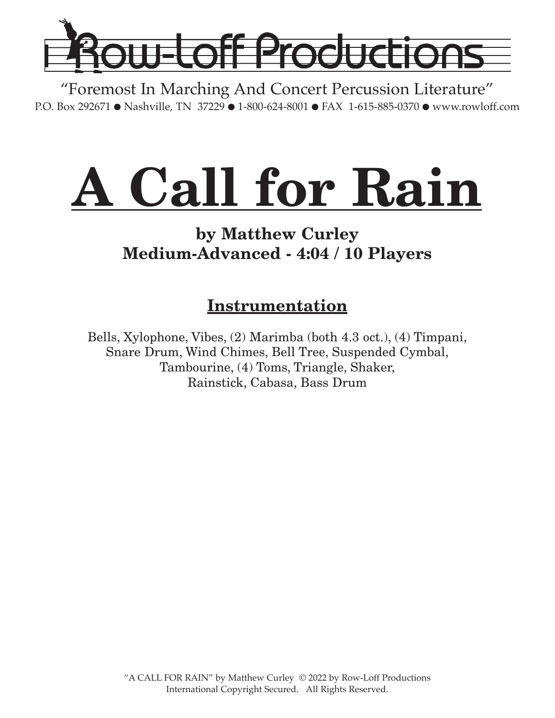

"Foremost In Marching And Concert Percussion Literature" P.O. Box 292671 ● Nashville, TN 37229 ● 1-800-624-8001 ● FAX 1-615-885-0370 ● www.rowloff.com

# **A Call for Rain**

# **by Matthew Curley Medium-Advanced - 4:04 / 10 Players**

# **Instrumentation**

Bells, Xylophone, Vibes, (2) Marimba (both 4.3 oct.), (4) Timpani, Snare Drum, Wind Chimes, Bell Tree, Suspended Cymbal, Tambourine, (4) Toms, Triangle, Shaker, Rainstick, Cabasa, Bass Drum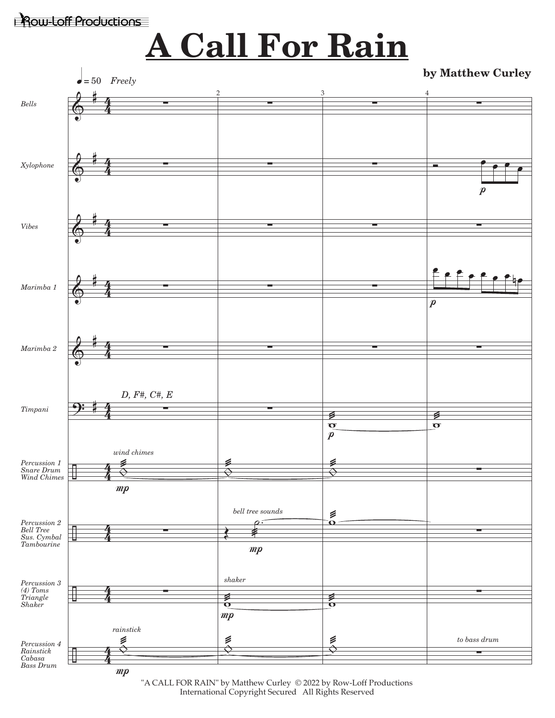### Row-Loff Productions

# **A Call For Rain**

**by Matthew Curley** 



"A CALL FOR RAIN" by Matthew Curley © 2022 by Row-Loff Productions International Copyright Secured All Rights Reserved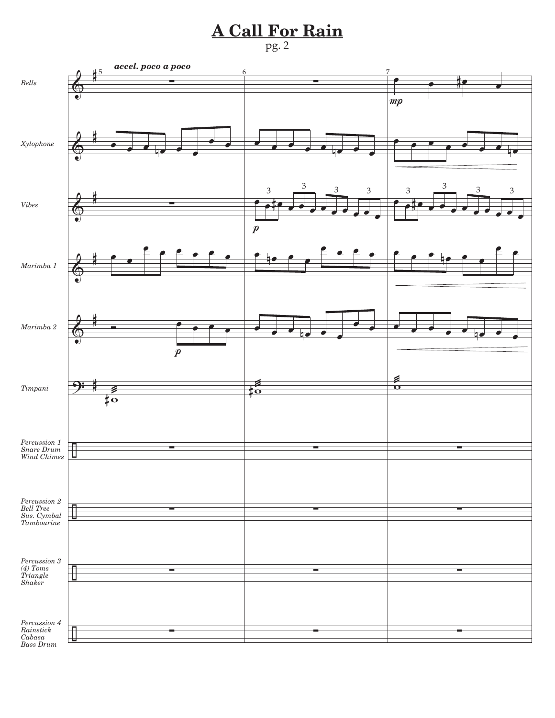# **A Call For Rain**

#### pg. 2



*Cabasa Bass Drum*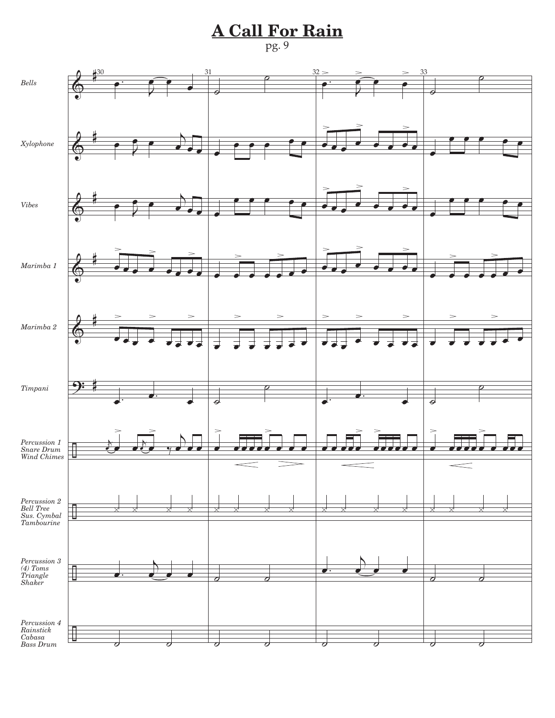# **A Call For Rain**

#### pg. 9